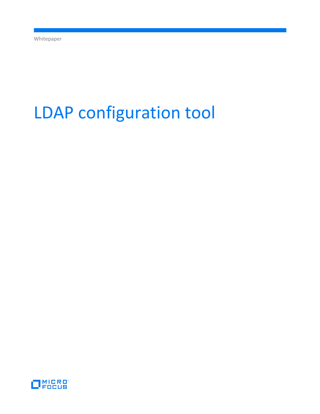# LDAP configuration tool

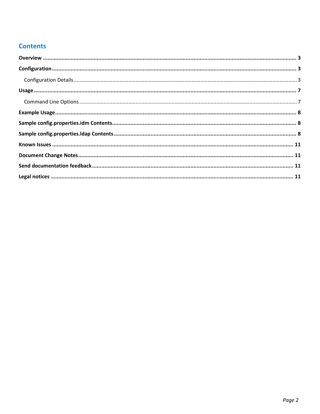# **Contents**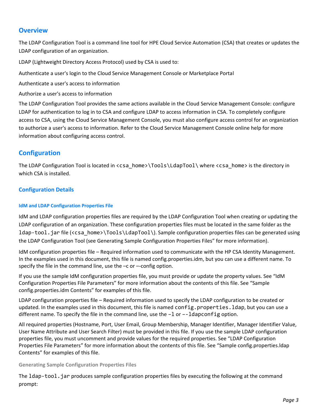# <span id="page-2-0"></span>**Overview**

The LDAP Configuration Tool is a command line tool for HPE Cloud Service Automation (CSA) that creates or updates the LDAP configuration of an organization.

LDAP (Lightweight Directory Access Protocol) used by CSA is used to:

Authenticate a user's login to the Cloud Service Management Console or Marketplace Portal

Authenticate a user's access to information

Authorize a user's access to information

The LDAP Configuration Tool provides the same actions available in the Cloud Service Management Console: configure LDAP for authentication to log in to CSA and configure LDAP to access information in CSA. To completely configure access to CSA, using the Cloud Service Management Console, you must also configure access control for an organization to authorize a user's access to information. Refer to the Cloud Service Management Console online help for more information about configuring access control.

# <span id="page-2-1"></span>**Configuration**

The LDAP Configuration Tool is located in <csa\_home>\Tools\LdapTool\ where <csa\_home> is the directory in which CSA is installed.

## <span id="page-2-2"></span>**Configuration Details**

## **IdM and LDAP Configuration Properties File**

IdM and LDAP configuration properties files are required by the LDAP Configuration Tool when creating or updating the LDAP configuration of an organization. These configuration properties files must be located in the same folder as the ldap-tool.jar file (<csa\_home>\Tools\LdapTool\). Sample configuration properties files can be generated using the LDAP Configuration Tool (see [Generating Sample Configuration Properties Files](#page-2-3)" for more information).

IdM configuration properties file – Required information used to communicate with the HP CSA Identity Management. In the examples used in this document, this file is named config.properties.idm, but you can use a different name. To specify the file in the command line, use the –c or –-config option.

If you use the sample IdM configuration properties file, you must provide or update the property values. See "IdM Configuration Properties File Parameters" for more information about the contents of this file. See "Sample config.properties.idm Contents" for examples of this file.

LDAP configuration properties file – Required information used to specify the LDAP configuration to be created or updated. In the examples used in this document, this file is named config.properties.ldap, but you can use a different name. To specify the file in the command line, use the  $-1$  or  $-$ - $1$ dapconfig option.

All required properties (Hostname, Port, User Email, Group Membership, Manager Identifier, Manager Identifier Value, User Name Attribute and User Search Filter) must be provided in this file. If you use the sample LDAP configuration properties file, you must uncomment and provide values for the required properties. See "[LDAP Configuration](#page-3-0)  [Properties File Parameters](#page-3-0)" for more information about the contents of this file. See "[Sample config.properties.ldap](#page-7-2) [Contents](#page-7-2)" for examples of this file.

### <span id="page-2-3"></span>**Generating Sample Configuration Properties Files**

The ldap-tool.jar produces sample configuration properties files by executing the following at the command prompt: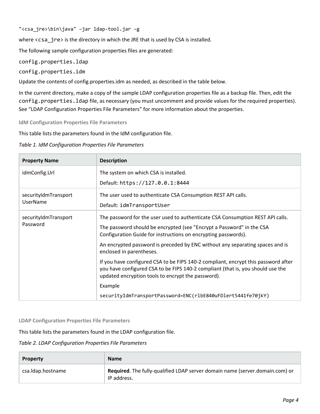"<csa\_jre>\bin\java" –jar ldap-tool.jar –g

where <csa\_jre> is the directory in which the JRE that is used by CSA is installed.

The following sample configuration properties files are generated:

config.properties.ldap

config.properties.idm

Update the contents of config.properties.idm as needed, as described in the table below.

In the current directory, make a copy of the sample LDAP configuration properties file as a backup file. Then, edit the config.properties.ldap file, as necessary (you must uncomment and provide values for the required properties). See "[LDAP Configuration Properties File Parameters](#page-3-0)" for more information about the properties.

**IdM Configuration Properties File Parameters**

This table lists the parameters found in the IdM configuration file.

#### *Table 1. IdM Configuration Properties File Parameters*

| <b>Property Name</b>                    | <b>Description</b>                                                                                                                                                                                                          |  |
|-----------------------------------------|-----------------------------------------------------------------------------------------------------------------------------------------------------------------------------------------------------------------------------|--|
| idmConfig.Url                           | The system on which CSA is installed.                                                                                                                                                                                       |  |
|                                         | Default: https://127.0.0.1:8444                                                                                                                                                                                             |  |
| securityIdmTransport<br><b>UserName</b> | The user used to authenticate CSA Consumption REST API calls.                                                                                                                                                               |  |
|                                         | Default: idmTransportUser                                                                                                                                                                                                   |  |
| securityIdmTransport<br>Password        | The password for the user used to authenticate CSA Consumption REST API calls.                                                                                                                                              |  |
|                                         | The password should be encrypted (see "Encrypt a Password" in the CSA<br>Configuration Guide for instructions on encrypting passwords).                                                                                     |  |
|                                         | An encrypted password is preceded by ENC without any separating spaces and is<br>enclosed in parentheses.                                                                                                                   |  |
|                                         | If you have configured CSA to be FIPS 140-2 compliant, encrypt this password after<br>you have configured CSA to be FIPS 140-2 compliant (that is, you should use the<br>updated encryption tools to encrypt the password). |  |
|                                         | Example                                                                                                                                                                                                                     |  |
|                                         | securityIdmTransportPassword=ENC(rlbE840uFDlert5441fe70jkY)                                                                                                                                                                 |  |

### <span id="page-3-0"></span>**LDAP Configuration Properties File Parameters**

This table lists the parameters found in the LDAP configuration file.

### *Table 2. LDAP Configuration Properties File Parameters*

| <b>Property</b>   | <b>Name</b>                                                                                 |
|-------------------|---------------------------------------------------------------------------------------------|
| csa.Idap.hostname | Required. The fully-qualified LDAP server domain name (server.domain.com) or<br>IP address. |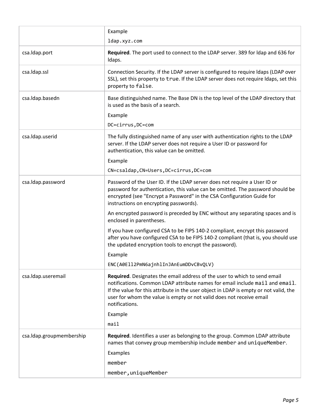|                          | Example                                                                                                                                                                                                                                                                                                                                      |
|--------------------------|----------------------------------------------------------------------------------------------------------------------------------------------------------------------------------------------------------------------------------------------------------------------------------------------------------------------------------------------|
|                          | ldap.xyz.com                                                                                                                                                                                                                                                                                                                                 |
| csa.ldap.port            | Required. The port used to connect to the LDAP server. 389 for Idap and 636 for<br>Idaps.                                                                                                                                                                                                                                                    |
| csa.Idap.ssl             | Connection Security. If the LDAP server is configured to require Idaps (LDAP over<br>SSL), set this property to true. If the LDAP server does not require Idaps, set this<br>property to false.                                                                                                                                              |
| csa.Idap.basedn          | Base distinguished name. The Base DN is the top level of the LDAP directory that<br>is used as the basis of a search.<br>Example<br>DC=cirrus, DC=com                                                                                                                                                                                        |
| csa.Idap.userid          | The fully distinguished name of any user with authentication rights to the LDAP<br>server. If the LDAP server does not require a User ID or password for<br>authentication, this value can be omitted.<br>Example<br>CN=csaldap, CN=Users, DC=cirrus, DC=com                                                                                 |
| csa.ldap.password        | Password of the User ID. If the LDAP server does not require a User ID or<br>password for authentication, this value can be omitted. The password should be<br>encrypted (see "Encrypt a Password" in the CSA Configuration Guide for<br>instructions on encrypting passwords).                                                              |
|                          | An encrypted password is preceded by ENC without any separating spaces and is<br>enclosed in parentheses.                                                                                                                                                                                                                                    |
|                          | If you have configured CSA to be FIPS 140-2 compliant, encrypt this password<br>after you have configured CSA to be FIPS 140-2 compliant (that is, you should use<br>the updated encryption tools to encrypt the password).                                                                                                                  |
|                          | Example                                                                                                                                                                                                                                                                                                                                      |
|                          | ENC(A0Ell2PmN6ajnhlInJAnEumDDvCBvQLV)                                                                                                                                                                                                                                                                                                        |
| csa.Idap.useremail       | Required. Designates the email address of the user to which to send email<br>notifications. Common LDAP attribute names for email include mail and email.<br>If the value for this attribute in the user object in LDAP is empty or not valid, the<br>user for whom the value is empty or not valid does not receive email<br>notifications. |
|                          | Example                                                                                                                                                                                                                                                                                                                                      |
|                          | mail                                                                                                                                                                                                                                                                                                                                         |
| csa.ldap.groupmembership | Required. Identifies a user as belonging to the group. Common LDAP attribute<br>names that convey group membership include member and uniqueMember.                                                                                                                                                                                          |
|                          | Examples                                                                                                                                                                                                                                                                                                                                     |
|                          | member                                                                                                                                                                                                                                                                                                                                       |
|                          | member, uniqueMember                                                                                                                                                                                                                                                                                                                         |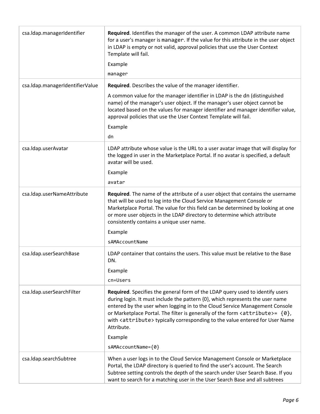| csa.ldap.managerIdentifier      | Required. Identifies the manager of the user. A common LDAP attribute name<br>for a user's manager is manager. If the value for this attribute in the user object<br>in LDAP is empty or not valid, approval policies that use the User Context<br>Template will fail.<br>Example<br>manager                                                                                                                                                                                            |
|---------------------------------|-----------------------------------------------------------------------------------------------------------------------------------------------------------------------------------------------------------------------------------------------------------------------------------------------------------------------------------------------------------------------------------------------------------------------------------------------------------------------------------------|
| csa.ldap.managerIdentifierValue | Required. Describes the value of the manager identifier.                                                                                                                                                                                                                                                                                                                                                                                                                                |
|                                 | A common value for the manager identifier in LDAP is the dn (distinguished<br>name) of the manager's user object. If the manager's user object cannot be<br>located based on the values for manager identifier and manager identifier value,<br>approval policies that use the User Context Template will fail.<br>Example                                                                                                                                                              |
|                                 | dn                                                                                                                                                                                                                                                                                                                                                                                                                                                                                      |
| csa.ldap.userAvatar             | LDAP attribute whose value is the URL to a user avatar image that will display for<br>the logged in user in the Marketplace Portal. If no avatar is specified, a default<br>avatar will be used.                                                                                                                                                                                                                                                                                        |
|                                 | Example                                                                                                                                                                                                                                                                                                                                                                                                                                                                                 |
|                                 | avatar                                                                                                                                                                                                                                                                                                                                                                                                                                                                                  |
| csa.ldap.userNameAttribute      | Required. The name of the attribute of a user object that contains the username<br>that will be used to log into the Cloud Service Management Console or<br>Marketplace Portal. The value for this field can be determined by looking at one<br>or more user objects in the LDAP directory to determine which attribute<br>consistently contains a unique user name.<br>Example<br>sAMAccountName                                                                                       |
| csa.ldap.userSearchBase         | LDAP container that contains the users. This value must be relative to the Base<br>DN.<br>Example<br>cn=Users                                                                                                                                                                                                                                                                                                                                                                           |
| csa.ldap.userSearchFilter       | Required. Specifies the general form of the LDAP query used to identify users<br>during login. It must include the pattern {0}, which represents the user name<br>entered by the user when logging in to the Cloud Service Management Console<br>or Marketplace Portal. The filter is generally of the form $\langle$ attribute>= $\{0\},$<br>with <attribute> typically corresponding to the value entered for User Name<br/>Attribute.<br/>Example<br/>sAMAccountName={0}</attribute> |
| csa.ldap.searchSubtree          | When a user logs in to the Cloud Service Management Console or Marketplace<br>Portal, the LDAP directory is queried to find the user's account. The Search<br>Subtree setting controls the depth of the search under User Search Base. If you<br>want to search for a matching user in the User Search Base and all subtrees                                                                                                                                                            |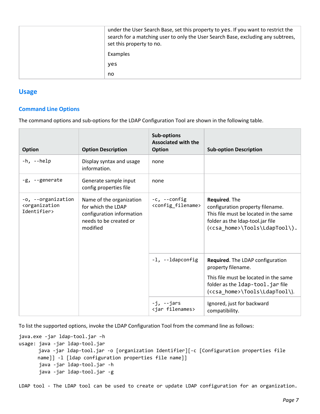| under the User Search Base, set this property to yes. If you want to restrict the<br>search for a matching user to only the User Search Base, excluding any subtrees,<br>set this property to no. |
|---------------------------------------------------------------------------------------------------------------------------------------------------------------------------------------------------|
| Examples                                                                                                                                                                                          |
| yes                                                                                                                                                                                               |
| no                                                                                                                                                                                                |

## <span id="page-6-0"></span>**Usage**

## <span id="page-6-1"></span>**Command Line Options**

The command options and sub-options for the LDAP Configuration Tool are shown in the following table.

| <b>Option</b>                                                           | <b>Option Description</b>                                                                                         | <b>Sub-options</b><br><b>Associated with the</b><br><b>Option</b> | <b>Sub-option Description</b>                                                                                                                                             |
|-------------------------------------------------------------------------|-------------------------------------------------------------------------------------------------------------------|-------------------------------------------------------------------|---------------------------------------------------------------------------------------------------------------------------------------------------------------------------|
| $-h, -h$ elp                                                            | Display syntax and usage<br>information.                                                                          | none                                                              |                                                                                                                                                                           |
| -g, --generate                                                          | Generate sample input<br>config properties file                                                                   | none                                                              |                                                                                                                                                                           |
| -o, --organization<br><organization<br>Identifier&gt;</organization<br> | Name of the organization<br>for which the LDAP<br>configuration information<br>needs to be created or<br>modified | $-c, -config$<br><config_filename></config_filename>              | Required. The<br>configuration property filename.<br>This file must be located in the same<br>folder as the Idap-tool.jar file<br>( <csa home="">\Tools\LdapTool\).</csa> |
|                                                                         |                                                                                                                   | -1, --ldapconfig                                                  | Required. The LDAP configuration<br>property filename.<br>This file must be located in the same<br>folder as the 1dap-too1.jar file                                       |
|                                                                         |                                                                                                                   |                                                                   | ( <csa_home>\Tools\LdapTool\).</csa_home>                                                                                                                                 |
|                                                                         |                                                                                                                   | $-j$ , $-$ jars<br><jar filenames=""></jar>                       | Ignored, just for backward<br>compatibility.                                                                                                                              |

To list the supported options, invoke the LDAP Configuration Tool from the command line as follows:

```
java.exe -jar ldap-tool.jar –h
usage: java -jar ldap-tool.jar
      java -jar ldap-tool.jar -o [organization Identifier][-c [Configuration properties file 
      name]] -l [ldap configuration properties file name]]
        java -jar ldap-tool.jar -h
        java -jar ldap-tool.jar -g
```
LDAP tool - The LDAP tool can be used to create or update LDAP configuration for an organization.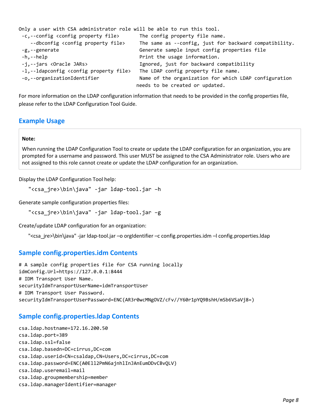| Only a user with CSA administrator role will be able to run this tool. |                                                        |
|------------------------------------------------------------------------|--------------------------------------------------------|
| -c,--config <config file="" property=""></config>                      | The config property file name.                         |
| --dbconfig <config file="" property=""></config>                       | The same as --config, just for backward compatibility. |
| -g,--generate                                                          | Generate sample input config properties file           |
| -h,--help                                                              | Print the usage information.                           |
| -j,--jars <oracle jars=""></oracle>                                    | Ignored, just for backward compatibility               |
| -1,--1dapconfig <config file="" property=""></config>                  | The LDAP config property file name.                    |
| -o,--organizationIdentifier                                            | Name of the organization for which LDAP configuration  |
|                                                                        | needs to be created or updated.                        |

For more information on the LDAP configuration information that needs to be provided in the config properties file, please refer to the LDAP Configuration Tool Guide.

# <span id="page-7-0"></span>**Example Usage**

## **Note:**

When running the LDAP Configuration Tool to create or update the LDAP configuration for an organization, you are prompted for a username and password. This user MUST be assigned to the CSA Administrator role. Users who are not assigned to this role cannot create or update the LDAP configuration for an organization.

Display the LDAP Configuration Tool help:

"<csa\_jre>\bin\java" -jar ldap-tool.jar –h

Generate sample configuration properties files:

"<csa\_jre>\bin\java" -jar ldap-tool.jar –g

Create/update LDAP configuration for an organization:

"<csa\_jre>\bin\java" -jar ldap-tool.jar –o orgIdentifier –c config.properties.idm –l config.properties.ldap

## <span id="page-7-1"></span>**Sample config.properties.idm Contents**

# A sample config properties file for CSA running locally idmConfig.Url=https://127.0.0.1:8444 # IDM Transport User Name. securityIdmTransportUserName=idmTransportUser # IDM Transport User Password. securityIdmTransportUserPassword=ENC(AR3r0wcMNgOVZ/cFv//Y60r1pYQ9BshH/mSb6VSaVj8=)

# <span id="page-7-2"></span>**Sample config.properties.ldap Contents**

```
csa.ldap.hostname=172.16.200.50
csa.ldap.port=389
csa.ldap.ssl=false
csa.ldap.basedn=DC=cirrus,DC=com
csa.ldap.userid=CN=csaldap,CN=Users,DC=cirrus,DC=com
csa.ldap.password=ENC(A0Ell2PmN6ajnhlInJAnEumDDvCBvQLV)
csa.ldap.useremail=mail
csa.ldap.groupmembership=member
csa.ldap.managerIdentifier=manager
```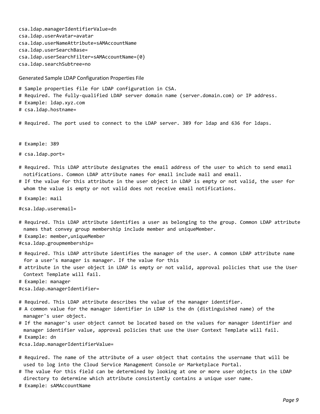csa.ldap.managerIdentifierValue=dn csa.ldap.userAvatar=avatar csa.ldap.userNameAttribute=sAMAccountName csa.ldap.userSearchBase= csa.ldap.userSearchFilter=sAMAccountName={0} csa.ldap.searchSubtree=no

Generated Sample LDAP Configuration Properties File

# Sample properties file for LDAP configuration in CSA. # Required. The fully-qualified LDAP server domain name (server.domain.com) or IP address. # Example: ldap.xyz.com # csa.ldap.hostname=

# Required. The port used to connect to the LDAP server. 389 for ldap and 636 for ldaps.

# Example: 389

# csa.ldap.port=

- # Required. This LDAP attribute designates the email address of the user to which to send email notifications. Common LDAP attribute names for email include mail and email.
- # If the value for this attribute in the user object in LDAP is empty or not valid, the user for whom the value is empty or not valid does not receive email notifications.

# Example: mail

#csa.ldap.useremail=

# Required. This LDAP attribute identifies a user as belonging to the group. Common LDAP attribute names that convey group membership include member and uniqueMember.

# Example: member,uniqueMember

#csa.ldap.groupmembership=

- # Required. This LDAP attribute identifies the manager of the user. A common LDAP attribute name for a user's manager is manager. If the value for this
- # attribute in the user object in LDAP is empty or not valid, approval policies that use the User Context Template will fail.

# Example: manager

#csa.ldap.managerIdentifier=

# Required. This LDAP attribute describes the value of the manager identifier.

- # A common value for the manager identifier in LDAP is the dn (distinguished name) of the manager's user object.
- # If the manager's user object cannot be located based on the values for manager identifier and manager identifier value, approval policies that use the User Context Template will fail. # Example: dn

#csa.ldap.managerIdentifierValue=

- # Required. The name of the attribute of a user object that contains the username that will be used to log into the Cloud Service Management Console or Marketplace Portal.
- # The value for this field can be determined by looking at one or more user objects in the LDAP directory to determine which attribute consistently contains a unique user name.
- # Example: sAMAccountName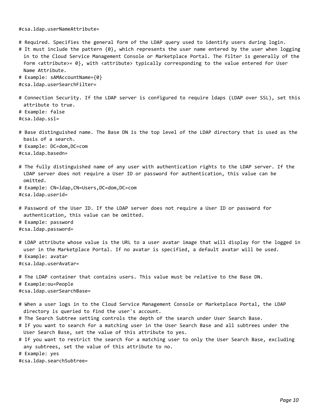#csa.ldap.userNameAttribute=

# Required. Specifies the general form of the LDAP query used to identify users during login.

# It must include the pattern {0}, which represents the user name entered by the user when logging in to the Cloud Service Management Console or Marketplace Portal. The filter is generally of the form  $\{\$ {attribute\} = 0\}, with  $\{\$ {attribute\} = \{v\} typically corresponding to the value entered for User Name Attribute.

# Example: sAMAccountName={0} #csa.ldap.userSearchFilter=

# Connection Security. If the LDAP server is configured to require ldaps (LDAP over SSL), set this attribute to true. # Example: false #csa.ldap.ssl=

# Base distinguished name. The Base DN is the top level of the LDAP directory that is used as the basis of a search. # Example: DC=dom,DC=com #csa.ldap.basedn=

# The fully distinguished name of any user with authentication rights to the LDAP server. If the LDAP server does not require a User ID or password for authentication, this value can be omitted.

# Example: CN=ldap,CN=Users,DC=dom,DC=com #csa.ldap.userid=

# Password of the User ID. If the LDAP server does not require a User ID or password for authentication, this value can be omitted.

# Example: password #csa.ldap.password=

# LDAP attribute whose value is the URL to a user avatar image that will display for the logged in user in the Marketplace Portal. If no avatar is specified, a default avatar will be used. # Example: avatar #csa.ldap.userAvatar=

# The LDAP container that contains users. This value must be relative to the Base DN. # Example:ou=People #csa.ldap.userSearchBase=

# When a user logs in to the Cloud Service Management Console or Marketplace Portal, the LDAP directory is queried to find the user's account.

# The Search Subtree setting controls the depth of the search under User Search Base.

# If you want to search for a matching user in the User Search Base and all subtrees under the User Search Base, set the value of this attribute to yes.

# If you want to restrict the search for a matching user to only the User Search Base, excluding any subtrees, set the value of this attribute to no.

# Example: yes

#csa.ldap.searchSubtree=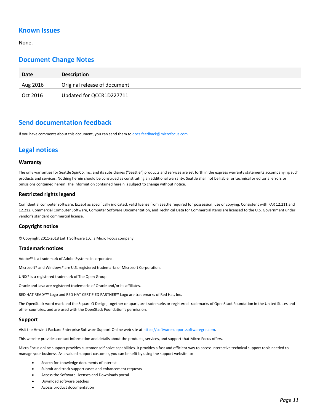## <span id="page-10-0"></span>**Known Issues**

None.

# <span id="page-10-1"></span>**Document Change Notes**

| Date     | <b>Description</b>           |
|----------|------------------------------|
| Aug 2016 | Original release of document |
| Oct 2016 | Updated for QCCR1D227711     |

# <span id="page-10-2"></span>**Send documentation feedback**

If you have comments about this document, you can send them t[o docs.feedback@microfocus.com.](mailto:docs.feedback@microfocus.com)

# <span id="page-10-3"></span>**Legal notices**

#### **Warranty**

The only warranties for Seattle SpinCo, Inc. and its subsidiaries ("Seattle") products and services are set forth in the express warranty statements accompanying such products and services. Nothing herein should be construed as constituting an additional warranty. Seattle shall not be liable for technical or editorial errors or omissions contained herein. The information contained herein is subject to change without notice.

#### **Restricted rights legend**

Confidential computer software. Except as specifically indicated, valid license from Seattle required for possession, use or copying. Consistent with FAR 12.211 and 12.212, Commercial Computer Software, Computer Software Documentation, and Technical Data for Commercial Items are licensed to the U.S. Government under vendor's standard commercial license.

#### **Copyright notice**

© Copyright 2011-2018 EntIT Software LLC, a Micro Focus company

#### **Trademark notices**

Adobe™ is a trademark of Adobe Systems Incorporated.

Microsoft® and Windows® are U.S. registered trademarks of Microsoft Corporation.

UNIX® is a registered trademark of The Open Group.

Oracle and Java are registered trademarks of Oracle and/or its affiliates.

RED HAT READY™ Logo and RED HAT CERTIFIED PARTNER™ Logo are trademarks of Red Hat, Inc.

The OpenStack word mark and the Square O Design, together or apart, are trademarks or registered trademarks of OpenStack Foundation in the United States and other countries, and are used with the OpenStack Foundation's permission.

#### **Support**

Visit the Hewlett Packard Enterprise Software Support Online web site a[t https://softwaresupport.softwaregrp.com.](https://softwaresupport.softwaregrp.com/) 

This website provides contact information and details about the products, services, and support that Micro Focus offers.

Micro Focus online support provides customer self-solve capabilities. It provides a fast and efficient way to access interactive technical support tools needed to manage your business. As a valued support customer, you can benefit by using the support website to:

- Search for knowledge documents of interest
- Submit and track support cases and enhancement requests
- Access the Software Licenses and Downloads portal
- Download software patches
- Access product documentation